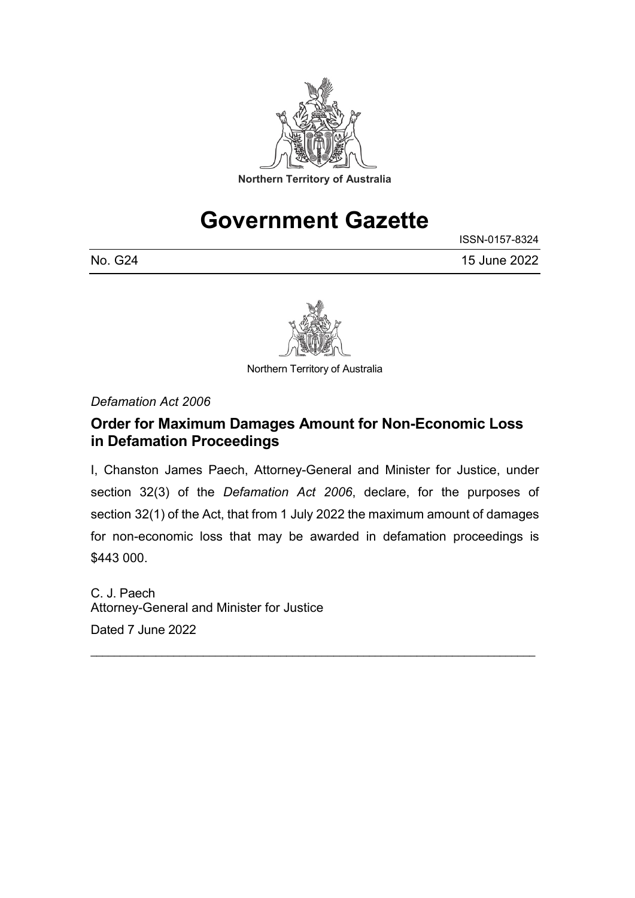

# **Government Gazette**

ISSN-0157-8324 No. G24 15 June 2022



Northern Territory of Australia

*Defamation Act 2006*

#### **Order for Maximum Damages Amount for Non-Economic Loss in Defamation Proceedings**

I, Chanston James Paech, Attorney-General and Minister for Justice, under section 32(3) of the *Defamation Act 2006*, declare, for the purposes of section 32(1) of the Act, that from 1 July 2022 the maximum amount of damages for non-economic loss that may be awarded in defamation proceedings is \$443 000.

\_\_\_\_\_\_\_\_\_\_\_\_\_\_\_\_\_\_\_\_\_\_\_\_\_\_\_\_\_\_\_\_\_\_\_\_\_\_\_\_\_\_\_\_\_\_\_\_\_\_\_\_\_\_\_\_\_\_\_\_\_\_\_\_\_\_\_\_\_\_\_\_\_\_\_

C. J. Paech Attorney-General and Minister for Justice Dated 7 June 2022